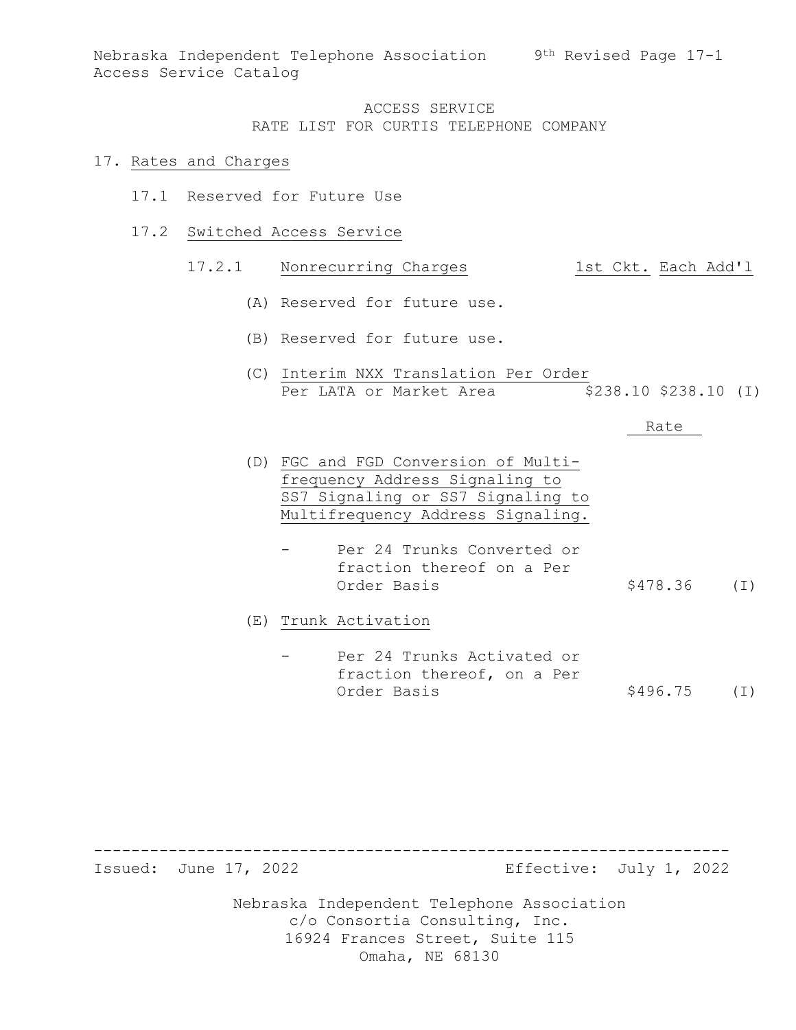Nebraska Independent Telephone Association 9th Revised Page 17-1 Access Service Catalog

### ACCESS SERVICE RATE LIST FOR CURTIS TELEPHONE COMPANY

#### 17. Rates and Charges

- 17.1 Reserved for Future Use
- 17.2 Switched Access Service

#### 17.2.1 Nonrecurring Charges 1st Ckt. Each Add'l

- (A) Reserved for future use.
- (B) Reserved for future use.
- (C) Interim NXX Translation Per Order Per LATA or Market Area  $$238.10 $238.10 (I)$

#### Rate

- (D) FGC and FGD Conversion of Multifrequency Address Signaling to SS7 Signaling or SS7 Signaling to Multifrequency Address Signaling.
	- Per 24 Trunks Converted or fraction thereof on a Per  $$478.36$  (I)

(E) Trunk Activation

Per 24 Trunks Activated or fraction thereof, on a Per<br>Order Basis  $$496.75$  (I)

-------------------------------------------------------------------- Effective: July 1, 2022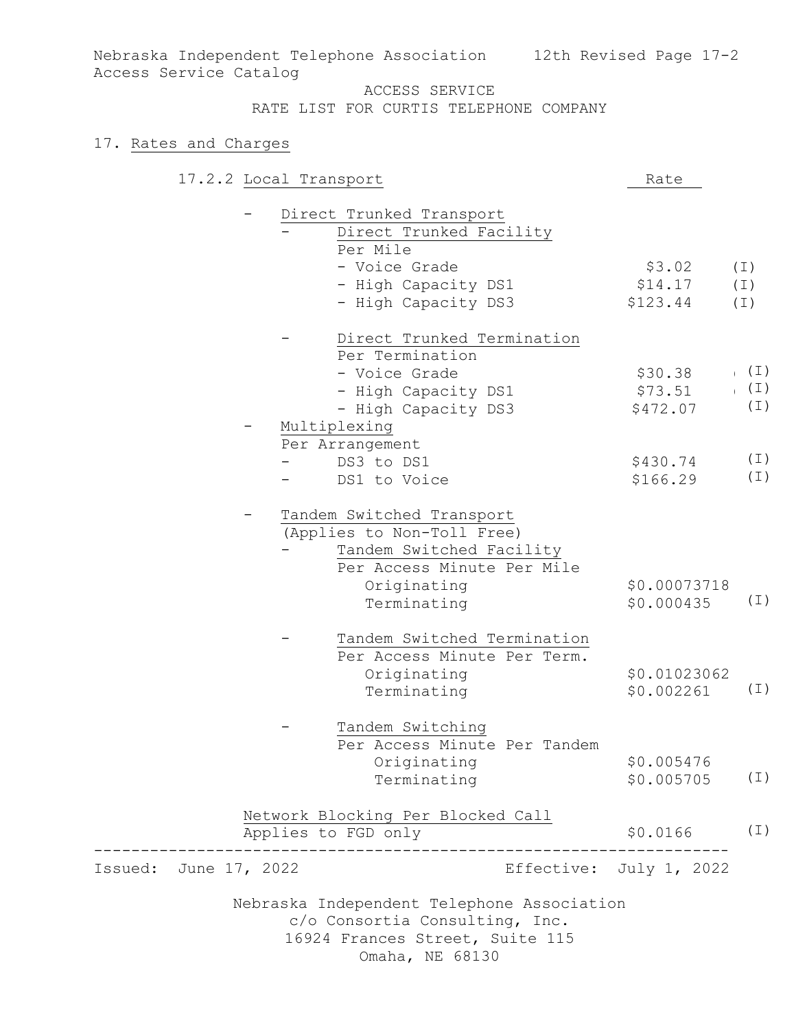Nebraska Independent Telephone Association 12th Revised Page 17-2 Access Service Catalog

#### ACCESS SERVICE

RATE LIST FOR CURTIS TELEPHONE COMPANY

## 17. Rates and Charges

|                       | 17.2.2 Local Transport                     | Rate                    |          |
|-----------------------|--------------------------------------------|-------------------------|----------|
|                       | Direct Trunked Transport                   |                         |          |
|                       | Direct Trunked Facility                    |                         |          |
|                       | Per Mile                                   |                         |          |
|                       | - Voice Grade                              | \$3.02                  | $(\bot)$ |
|                       | - High Capacity DS1                        | \$14.17                 | $(\bot)$ |
|                       | - High Capacity DS3                        | \$123.44                | (I)      |
|                       | Direct Trunked Termination                 |                         |          |
|                       | Per Termination                            |                         |          |
|                       | - Voice Grade                              | \$30.38                 | ( I )    |
|                       | - High Capacity DS1                        | \$73.51                 | $(\bot)$ |
|                       | - High Capacity DS3                        | \$472.07                | $(\bot)$ |
|                       | Multiplexing                               |                         |          |
|                       | Per Arrangement                            |                         |          |
|                       | DS3 to DS1                                 | \$430.74                | $(\bot)$ |
|                       | DS1 to Voice                               | \$166.29                | $(\bot)$ |
|                       | Tandem Switched Transport                  |                         |          |
|                       | (Applies to Non-Toll Free)                 |                         |          |
|                       | Tandem Switched Facility                   |                         |          |
|                       | Per Access Minute Per Mile                 |                         |          |
|                       | Originating                                | \$0.00073718            |          |
|                       | Terminating                                | \$0.000435              | (I)      |
|                       | Tandem Switched Termination                |                         |          |
|                       | Per Access Minute Per Term.                |                         |          |
|                       | Originating                                | \$0.01023062            |          |
|                       | Terminating                                | \$0.002261              | (I)      |
|                       | Tandem Switching                           |                         |          |
|                       | Per Access Minute Per Tandem               |                         |          |
|                       | Originating                                | \$0.005476              |          |
|                       | Terminating                                | \$0.005705              | $(\bot)$ |
|                       | Network Blocking Per Blocked Call          |                         |          |
|                       | Applies to FGD only<br>_______________     | \$0.0166                | $(\bot)$ |
| Issued: June 17, 2022 |                                            | Effective: July 1, 2022 |          |
|                       | Nebraska Independent Telephone Association |                         |          |
|                       | c/o Consortia Consulting, Inc.             |                         |          |
|                       | 16924 Frances Street, Suite 115            |                         |          |
|                       | Omaha, NE 68130                            |                         |          |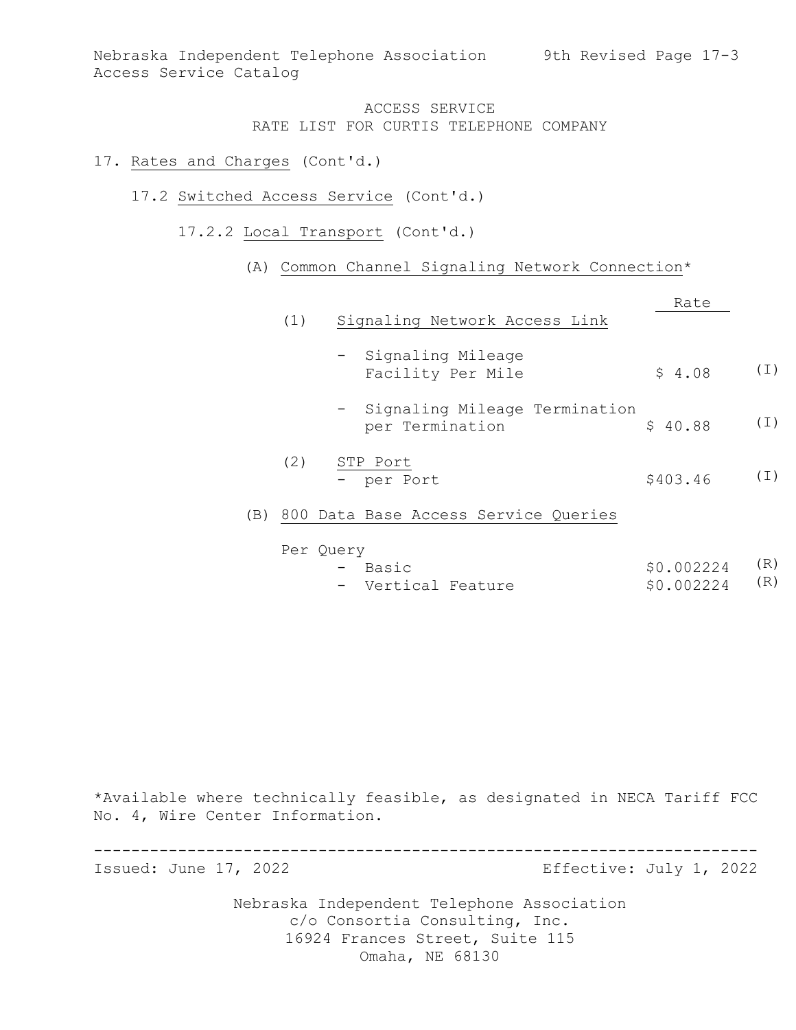Nebraska Independent Telephone Association 9th Revised Page 17-3 Access Service Catalog

## ACCESS SERVICE RATE LIST FOR CURTIS TELEPHONE COMPANY

#### 17. Rates and Charges (Cont'd.)

- 17.2 Switched Access Service (Cont'd.)
	- 17.2.2 Local Transport (Cont'd.)

### (A) Common Channel Signaling Network Connection\*

|     | (1) | Signaling Network Access Link                      | Rate     |          |
|-----|-----|----------------------------------------------------|----------|----------|
|     |     | - Signaling Mileage<br>Facility Per Mile           | \$4.08   | $(\bot)$ |
|     |     | - Signaling Mileage Termination<br>per Termination | \$40.88  | $(\bot)$ |
|     | (2) | STP Port<br>- per Port                             | \$403.46 | ( I )    |
| (B) | 800 | Data Base Access Service Queries                   |          |          |

| Per Query |                    |  |                |  |
|-----------|--------------------|--|----------------|--|
|           | - Basic            |  | \$0.002224 (R) |  |
|           | - Vertical Feature |  | \$0.002224 (R) |  |

\*Available where technically feasible, as designated in NECA Tariff FCC No. 4, Wire Center Information.

Nebraska Independent Telephone Association c/o Consortia Consulting, Inc. ----------------------------------------------------------------------- Effective: July 1, 2022

16924 Frances Street, Suite 115 Omaha, NE 68130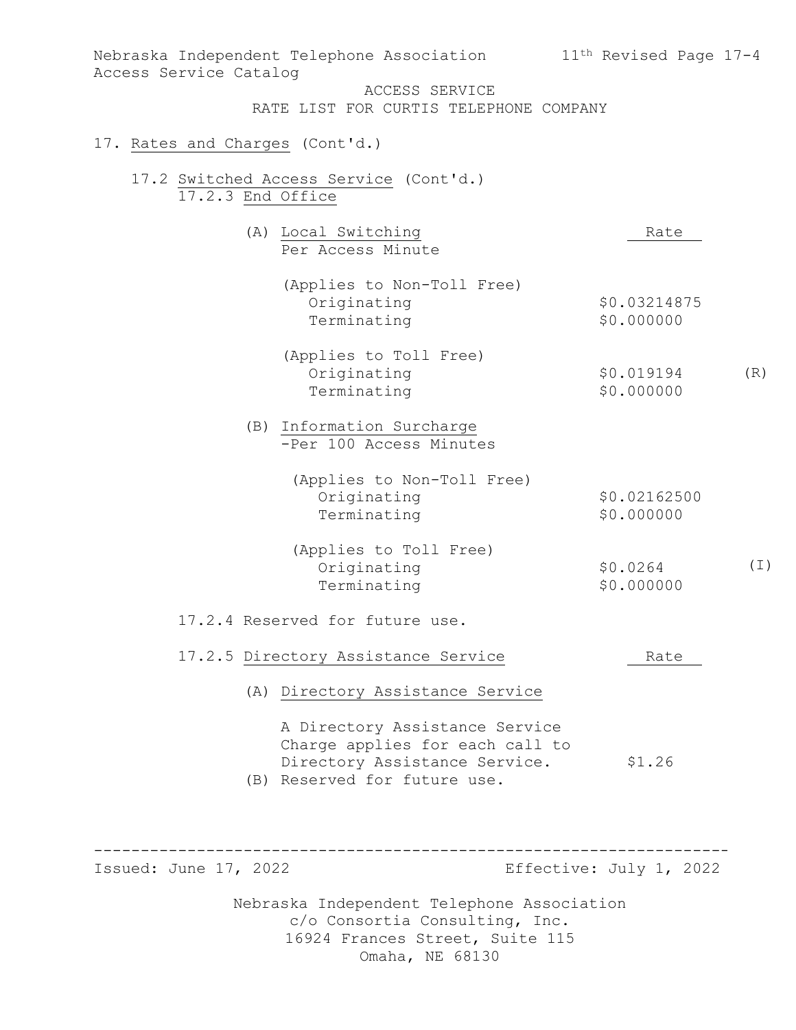| Access Service Catalog          | Nebraska Independent Telephone Association                                                                                         | 11 <sup>th</sup> Revised Page 17-4 |  |
|---------------------------------|------------------------------------------------------------------------------------------------------------------------------------|------------------------------------|--|
|                                 | ACCESS SERVICE<br>RATE LIST FOR CURTIS TELEPHONE COMPANY                                                                           |                                    |  |
| 17. Rates and Charges (Cont'd.) |                                                                                                                                    |                                    |  |
| 17.2.3 End Office               | 17.2 Switched Access Service (Cont'd.)                                                                                             |                                    |  |
|                                 | (A) Local Switching<br>Per Access Minute                                                                                           | Rate                               |  |
|                                 | (Applies to Non-Toll Free)<br>Originating<br>Terminating                                                                           | \$0.03214875<br>\$0.000000         |  |
|                                 | (Applies to Toll Free)<br>Originating<br>Terminating                                                                               | (R)<br>\$0.019194<br>\$0.000000    |  |
|                                 | (B) Information Surcharge<br>-Per 100 Access Minutes                                                                               |                                    |  |
|                                 | (Applies to Non-Toll Free)<br>Originating<br>Terminating                                                                           | \$0.02162500<br>\$0.000000         |  |
|                                 | (Applies to Toll Free)<br>Originating<br>Terminating                                                                               | (I)<br>\$0.0264<br>\$0.000000      |  |
|                                 | 17.2.4 Reserved for future use.                                                                                                    |                                    |  |
|                                 | 17.2.5 Directory Assistance Service                                                                                                | Rate                               |  |
|                                 | (A) Directory Assistance Service                                                                                                   |                                    |  |
|                                 | A Directory Assistance Service<br>Charge applies for each call to<br>Directory Assistance Service.<br>(B) Reserved for future use. | \$1.26                             |  |
|                                 |                                                                                                                                    |                                    |  |
| Issued: June 17, 2022           |                                                                                                                                    | Effective: July 1, 2022            |  |
|                                 | Nebraska Independent Telephone Association<br>c/o Consortia Consulting, Inc.<br>16924 Frances Street, Suite 115                    |                                    |  |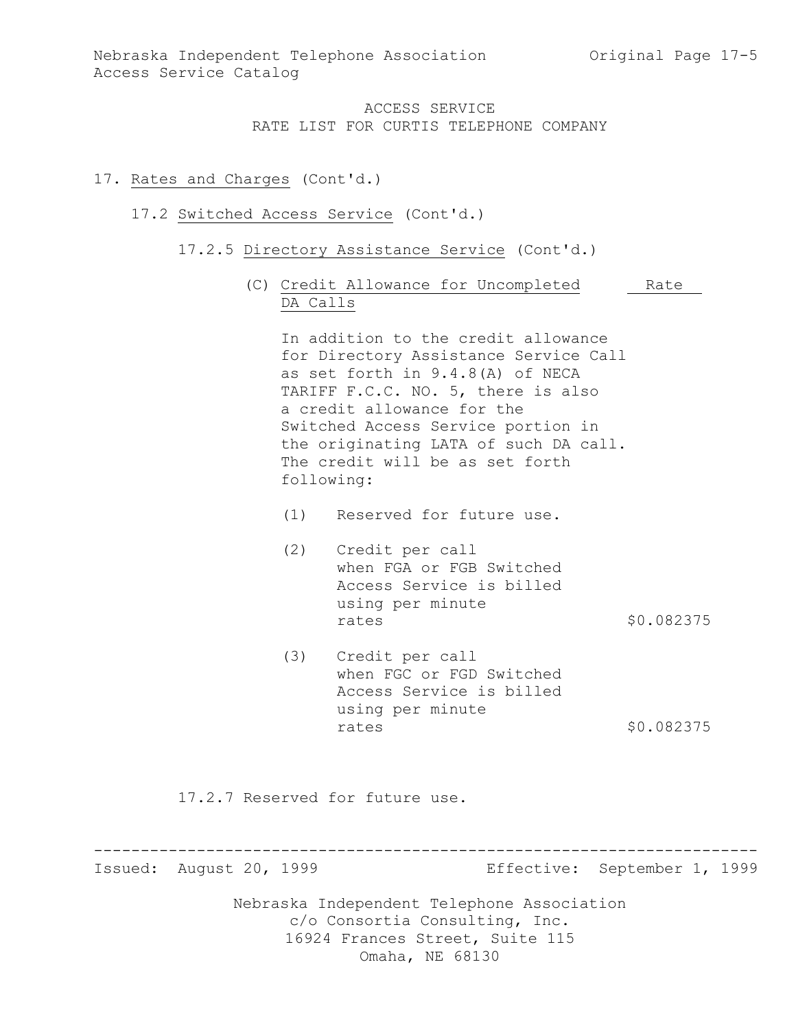## 17. Rates and Charges (Cont'd.)

### 17.2 Switched Access Service (Cont'd.)

- 17.2.5 Directory Assistance Service (Cont'd.)
	- (C) Credit Allowance for Uncompleted Rate DA Calls

In addition to the credit allowance for Directory Assistance Service Call as set forth in 9.4.8(A) of NECA TARIFF F.C.C. NO. 5, there is also a credit allowance for the Switched Access Service portion in the originating LATA of such DA call. The credit will be as set forth following:

- (1) Reserved for future use.
- (2) Credit per call when FGA or FGB Switched Access Service is billed using per minute rates \$0.082375
- (3) Credit per call when FGC or FGD Switched Access Service is billed using per minute rates \$0.082375

17.2.7 Reserved for future use.

----------------------------------------------------------------------- Effective: September 1, 1999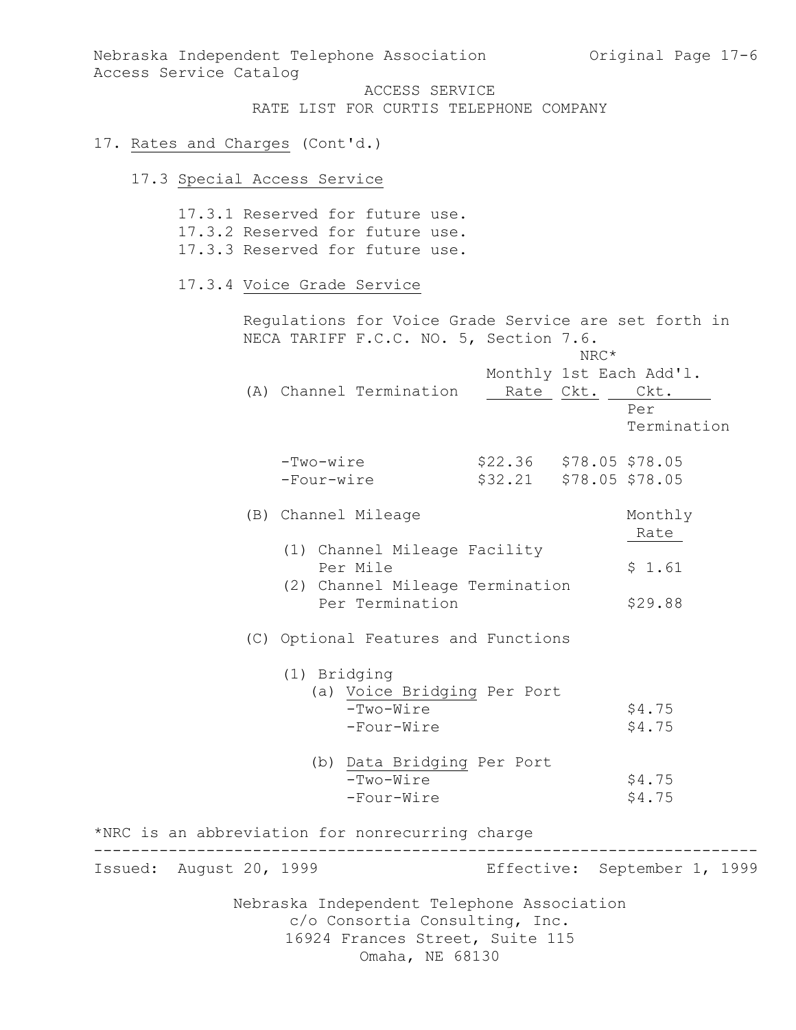Nebraska Independent Telephone Association and Original Page 17-6 Access Service Catalog

ACCESS SERVICE RATE LIST FOR CURTIS TELEPHONE COMPANY

## 17. Rates and Charges (Cont'd.)

# 17.3 Special Access Service

|                         | 17.3.1 Reserved for future use.<br>17.3.2 Reserved for future use.<br>17.3.3 Reserved for future use.           |                                       |                |                                               |
|-------------------------|-----------------------------------------------------------------------------------------------------------------|---------------------------------------|----------------|-----------------------------------------------|
|                         | 17.3.4 Voice Grade Service                                                                                      |                                       |                |                                               |
|                         | Regulations for Voice Grade Service are set forth in<br>NECA TARIFF F.C.C. NO. 5, Section 7.6.                  |                                       | NRC*           |                                               |
|                         | (A) Channel Termination                                                                                         |                                       | Rate Ckt. Ckt. | Monthly 1st Each Add'l.<br>Per<br>Termination |
|                         | -Two-wire<br>-Four-wire                                                                                         | $$22.36$ $$78.05$ $$78.05$<br>\$32.21 |                | \$78.05 \$78.05                               |
|                         | (B) Channel Mileage                                                                                             |                                       |                | Monthly<br>Rate                               |
|                         | (1) Channel Mileage Facility<br>Per Mile<br>(2) Channel Mileage Termination                                     |                                       |                | \$1.61                                        |
|                         | Per Termination                                                                                                 |                                       |                | \$29.88                                       |
|                         | (C) Optional Features and Functions                                                                             |                                       |                |                                               |
|                         | (1) Bridging<br>(a) Voice Bridging Per Port<br>-Two-Wire<br>-Four-Wire                                          |                                       |                | \$4.75<br>\$4.75                              |
|                         | (b) Data Bridging Per Port<br>-Two-Wire<br>-Four-Wire                                                           |                                       |                | \$4.75<br>\$4.75                              |
|                         | *NRC is an abbreviation for nonrecurring charge                                                                 |                                       |                |                                               |
| Issued: August 20, 1999 |                                                                                                                 |                                       |                | Effective: September 1, 1999                  |
|                         | Nebraska Independent Telephone Association<br>c/o Consortia Consulting, Inc.<br>16924 Frances Street, Suite 115 |                                       |                |                                               |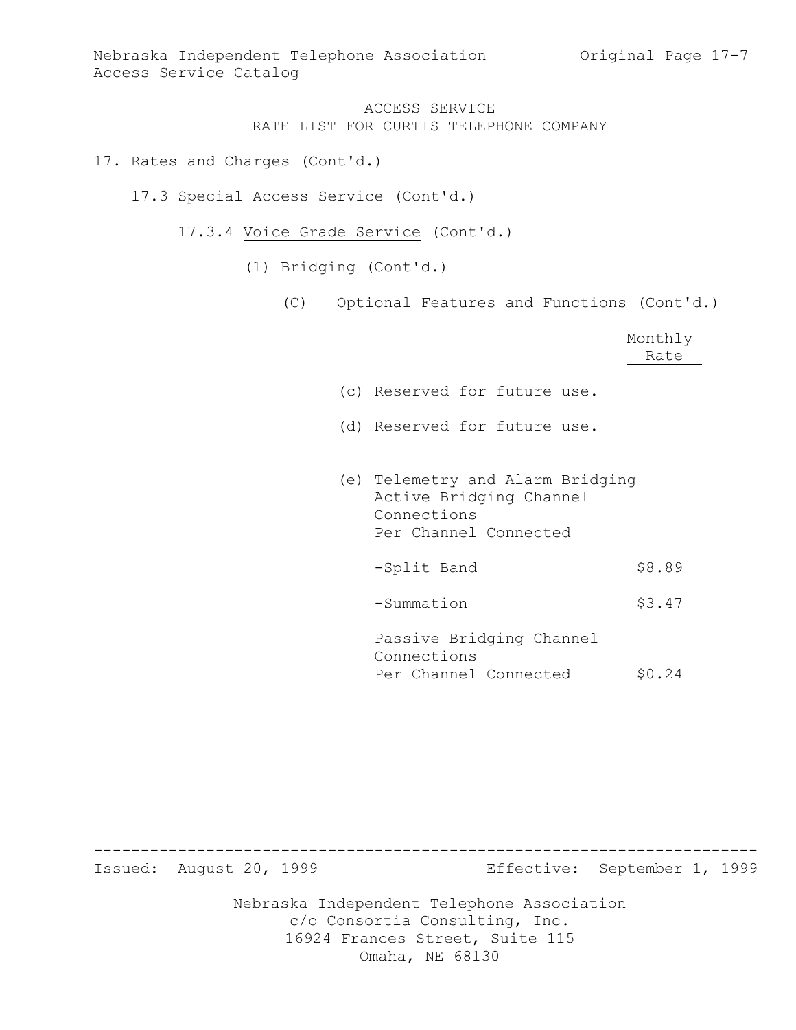### 17. Rates and Charges (Cont'd.)

- 17.3 Special Access Service (Cont'd.)
	- 17.3.4 Voice Grade Service (Cont'd.)
		- (1) Bridging (Cont'd.)
			- (C) Optional Features and Functions (Cont'd.)

|                                                                                                     | Monthly<br>Rate |
|-----------------------------------------------------------------------------------------------------|-----------------|
| (c) Reserved for future use.                                                                        |                 |
| (d) Reserved for future use.                                                                        |                 |
| (e) Telemetry and Alarm Bridging<br>Active Bridging Channel<br>Connections<br>Per Channel Connected |                 |
| -Split Band                                                                                         | \$8.89          |
| -Summation                                                                                          | \$3.47          |
| Passive Bridging Channel<br>Connections<br>Per Channel Connected                                    | \$0.24          |

Nebraska Independent Telephone Association c/o Consortia Consulting, Inc. 16924 Frances Street, Suite 115 ----------------------------------------------------------------------- Effective: September 1, 1999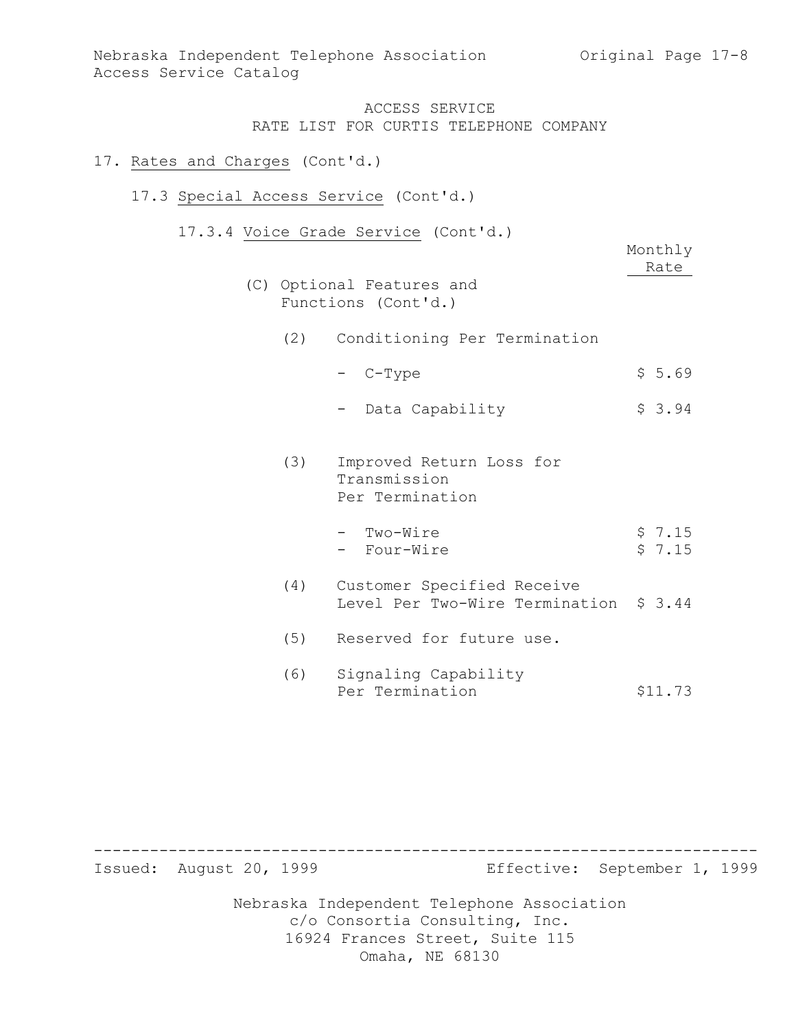#### 17. Rates and Charges (Cont'd.)

#### 17.3 Special Access Service (Cont'd.)

17.3.4 Voice Grade Service (Cont'd.)

|     | VOICC OIGGC DCIVICC<br>$\sqrt{2}$<br>(C) Optional Features and<br>Functions (Cont'd.) | Monthly<br>Rate  |
|-----|---------------------------------------------------------------------------------------|------------------|
| (2) | Conditioning Per Termination                                                          |                  |
|     | - C-Type                                                                              | \$5.69           |
|     | Data Capability                                                                       | \$3.94           |
| (3) | Improved Return Loss for<br>Transmission<br>Per Termination                           |                  |
|     | - Two-Wire<br>- Four-Wire                                                             | \$7.15<br>\$7.15 |
| (4) | Customer Specified Receive<br>Level Per Two-Wire Termination \$ 3.44                  |                  |
| (5) | Reserved for future use.                                                              |                  |
| (6) | Signaling Capability<br>Per Termination                                               | \$11.73          |

Nebraska Independent Telephone Association c/o Consortia Consulting, Inc. 16924 Frances Street, Suite 115 Omaha, NE 68130 ----------------------------------------------------------------------- Effective: September 1, 1999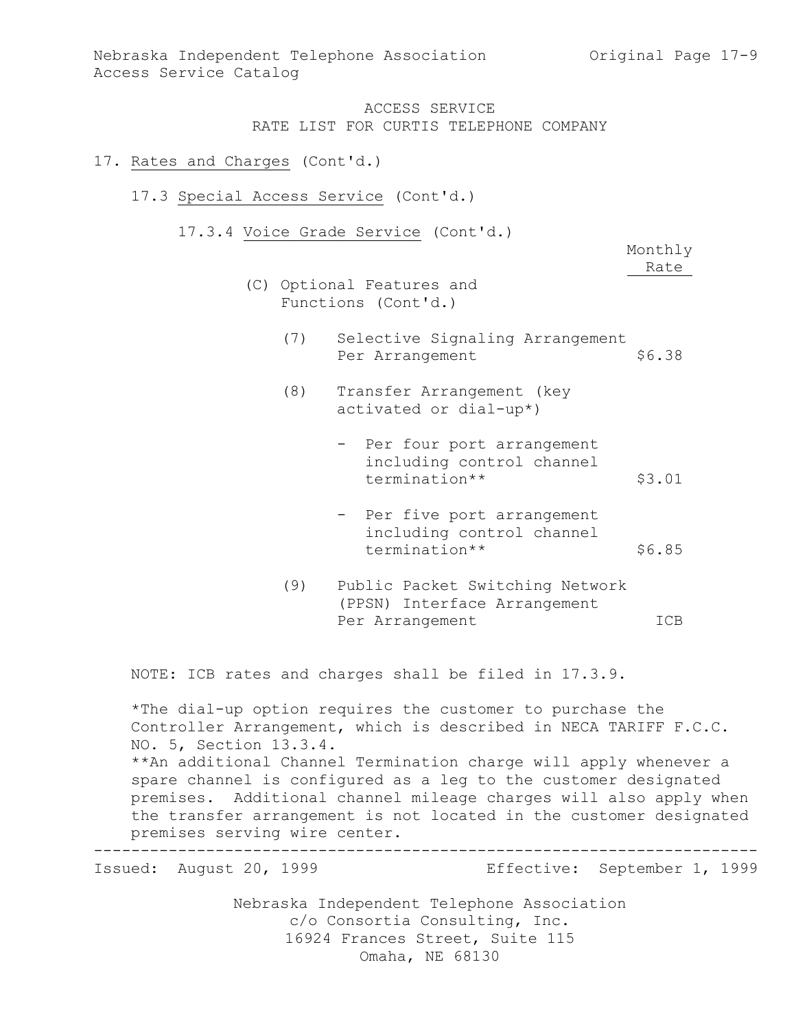#### 17. Rates and Charges (Cont'd.)

- 17.3 Special Access Service (Cont'd.)
	- 17.3.4 Voice Grade Service (Cont'd.)

Monthly Rate

- (C) Optional Features and Functions (Cont'd.)
	- (7) Selective Signaling Arrangement<br>Per Arrangement \$6.38 Per Arrangement
	- (8) Transfer Arrangement (key activated or dial-up\*)
		- Per four port arrangement including control channel termination\*\* \$3.01
		- Per five port arrangement including control channel termination\*\* \$6.85
	- (9) Public Packet Switching Network (PPSN) Interface Arrangement Per Arrangement ICB

NOTE: ICB rates and charges shall be filed in 17.3.9.

\*The dial-up option requires the customer to purchase the Controller Arrangement, which is described in NECA TARIFF F.C.C. NO. 5, Section 13.3.4. \*\*An additional Channel Termination charge will apply whenever a spare channel is configured as a leg to the customer designated premises. Additional channel mileage charges will also apply when the transfer arrangement is not located in the customer designated premises serving wire center.

----------------------------------------------------------------------- Effective: September 1, 1999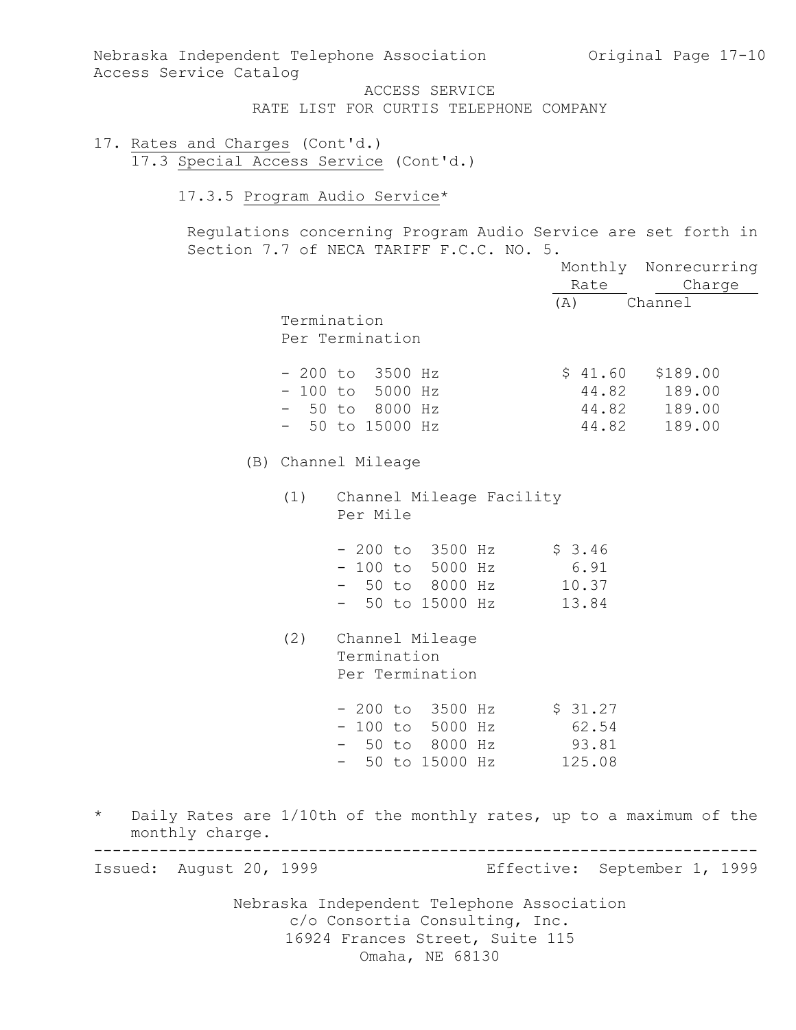Nebraska Independent Telephone Association (Original Page 17-10) Access Service Catalog

ACCESS SERVICE RATE LIST FOR CURTIS TELEPHONE COMPANY

- 17. Rates and Charges (Cont'd.) 17.3 Special Access Service (Cont'd.)
	- 17.3.5 Program Audio Service\*

Regulations concerning Program Audio Service are set forth in Section 7.7 of NECA TARIFF F.C.C. NO. 5.

|                             |     |                                                                                                                                    | Rate                                | Monthly Nonrecurring<br>Charge               |
|-----------------------------|-----|------------------------------------------------------------------------------------------------------------------------------------|-------------------------------------|----------------------------------------------|
|                             |     | Termination<br>Per Termination                                                                                                     | (A)                                 | Channel                                      |
|                             |     | $-200$ to $3500$ Hz<br>$-100$ to 5000 Hz<br>$-50$ to 8000 Hz<br>$-50$ to 15000 Hz                                                  | \$41.60<br>44.82<br>44.82           | \$189.00<br>189.00<br>44.82 189.00<br>189.00 |
|                             |     | (B) Channel Mileage                                                                                                                |                                     |                                              |
|                             | (1) | Channel Mileage Facility<br>Per Mile                                                                                               |                                     |                                              |
|                             |     | $-200$ to $3500$ Hz<br>$-100$ to 5000 Hz<br>- 50 to 8000 Hz<br>- 50 to 15000 Hz                                                    | \$3.46<br>6.91<br>10.37<br>13.84    |                                              |
|                             | (2) | Channel Mileage<br>Termination<br>Per Termination                                                                                  |                                     |                                              |
|                             |     | $-200$ to $3500$ Hz<br>$-100$ to 5000 Hz<br>- 50 to 8000 Hz<br>50 to 15000 Hz                                                      | \$31.27<br>62.54<br>93.81<br>125.08 |                                              |
| $^\star$<br>monthly charge. |     | Daily Rates are 1/10th of the monthly rates, up to a maximum of the                                                                |                                     |                                              |
| Issued: August 20, 1999     |     |                                                                                                                                    |                                     | Effective: September 1, 1999                 |
|                             |     | Nebraska Independent Telephone Association<br>c/o Consortia Consulting, Inc.<br>16924 Frances Street, Suite 115<br>Omaha, NE 68130 |                                     |                                              |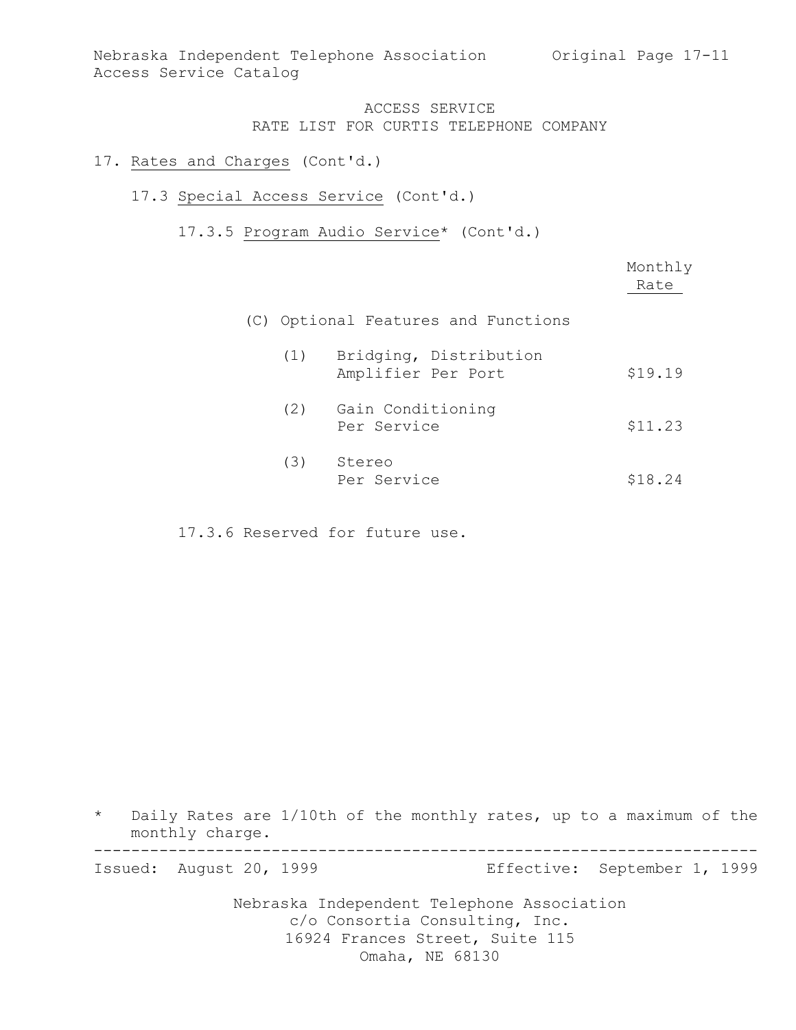### 17. Rates and Charges (Cont'd.)

### 17.3 Special Access Service (Cont'd.)

17.3.5 Program Audio Service\* (Cont'd.)

|     |                                              | Monthly<br>Rate |
|-----|----------------------------------------------|-----------------|
|     | (C) Optional Features and Functions          |                 |
| (1) | Bridging, Distribution<br>Amplifier Per Port | \$19.19         |
| (2) | Gain Conditioning<br>Per Service             | \$11.23         |
| (3) | Stereo<br>Per Service                        | \$18.24         |

17.3.6 Reserved for future use.

\* Daily Rates are 1/10th of the monthly rates, up to a maximum of the monthly charge. -----------------------------------------------------------------------

Effective: September 1, 1999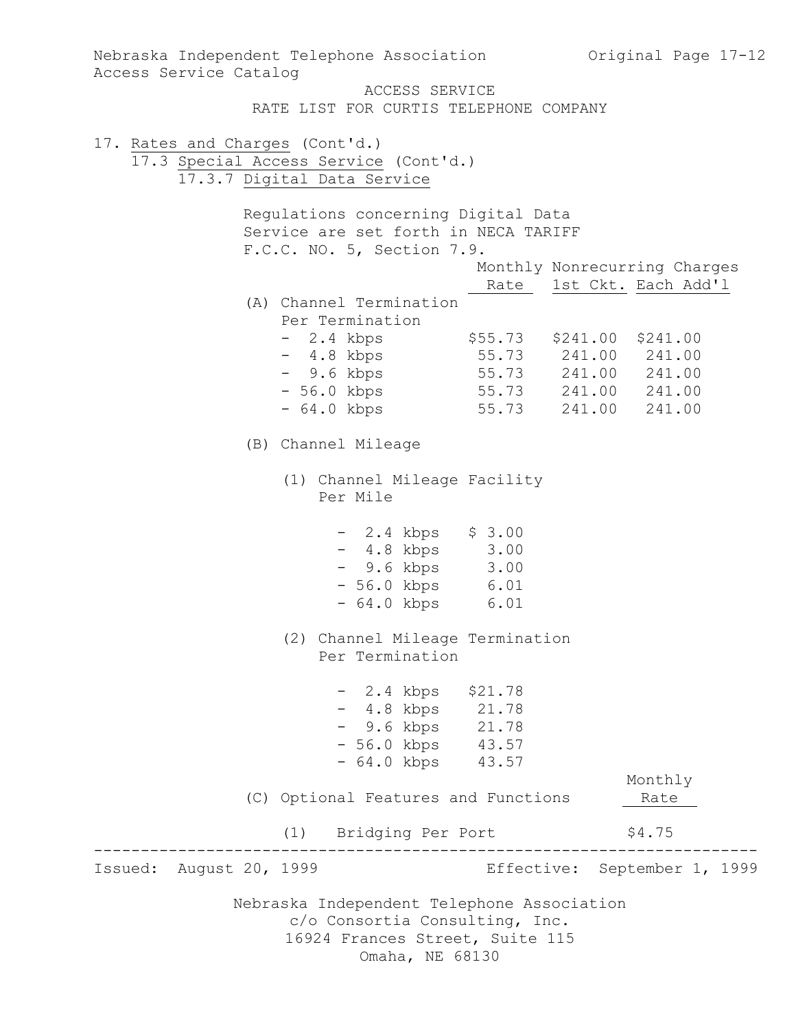Nebraska Independent Telephone Association c/o Consortia Consulting, Inc. 16924 Frances Street, Suite 115 Omaha, NE 68130 Nebraska Independent Telephone Association (Original Page 17-12) Access Service Catalog ACCESS SERVICE RATE LIST FOR CURTIS TELEPHONE COMPANY 17. Rates and Charges (Cont'd.) 17.3 Special Access Service (Cont'd.) 17.3.7 Digital Data Service Regulations concerning Digital Data Service are set forth in NECA TARIFF F.C.C. NO. 5, Section 7.9. Monthly Nonrecurring Charges Rate 1st Ckt. Each Add'l (A) Channel Termination Per Termination - 2.4 kbps \$55.73 \$241.00 \$241.00 - 4.8 kbps 55.73 241.00 241.00 - 9.6 kbps 55.73 241.00 241.00 - 56.0 kbps 55.73 241.00 241.00 - 64.0 kbps 55.73 241.00 241.00 (B) Channel Mileage (1) Channel Mileage Facility Per Mile - 2.4 kbps \$ 3.00 - 4.8 kbps 3.00 - 9.6 kbps 3.00 - 56.0 kbps 6.01 - 64.0 kbps 6.01 (2) Channel Mileage Termination Per Termination - 2.4 kbps \$21.78 - 4.8 kbps 21.78 - 9.6 kbps 21.78 - 56.0 kbps 43.57 - 64.0 kbps 43.57 Monthly (C) Optional Features and Functions 1974 Rate (1) Bridging Per Port \$4.75 ----------------------------------------------------------------------- Effective: September 1, 1999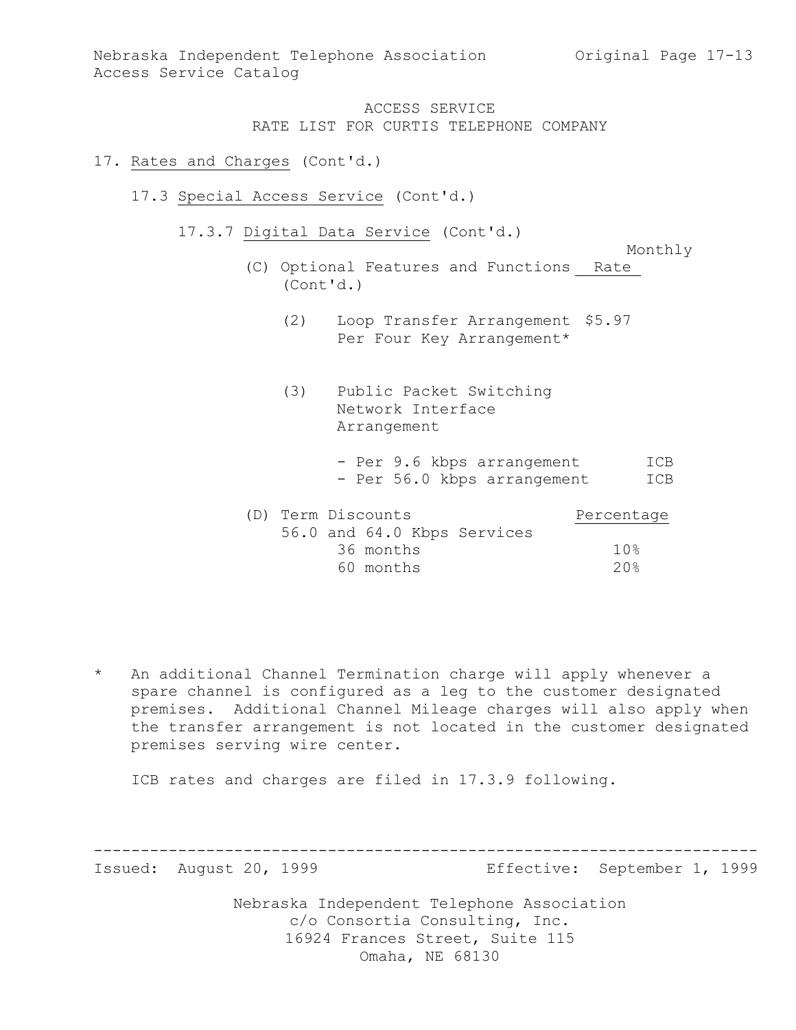Nebraska Independent Telephone Association Original Page 17-13 Access Service Catalog

> ACCESS SERVICE RATE LIST FOR CURTIS TELEPHONE COMPANY

#### 17. Rates and Charges (Cont'd.)

- 17.3 Special Access Service (Cont'd.)
	- 17.3.7 Digital Data Service (Cont'd.)

Monthly

- (C) Optional Features and Functions Rate (Cont'd.)
	- (2) Loop Transfer Arrangement \$5.97 Per Four Key Arrangement\*
	- (3) Public Packet Switching Network Interface Arrangement
		- Per 9.6 kbps arrangement ICB - Per 56.0 kbps arrangement ICB

| (D) Term Discounts |           |                             | Percentage |
|--------------------|-----------|-----------------------------|------------|
|                    |           | 56.0 and 64.0 Kbps Services |            |
|                    | 36 months |                             | 10%        |
|                    | 60 months |                             | 20%        |

\* An additional Channel Termination charge will apply whenever a spare channel is configured as a leg to the customer designated premises. Additional Channel Mileage charges will also apply when the transfer arrangement is not located in the customer designated premises serving wire center.

ICB rates and charges are filed in 17.3.9 following.

----------------------------------------------------------------------- Effective: September 1, 1999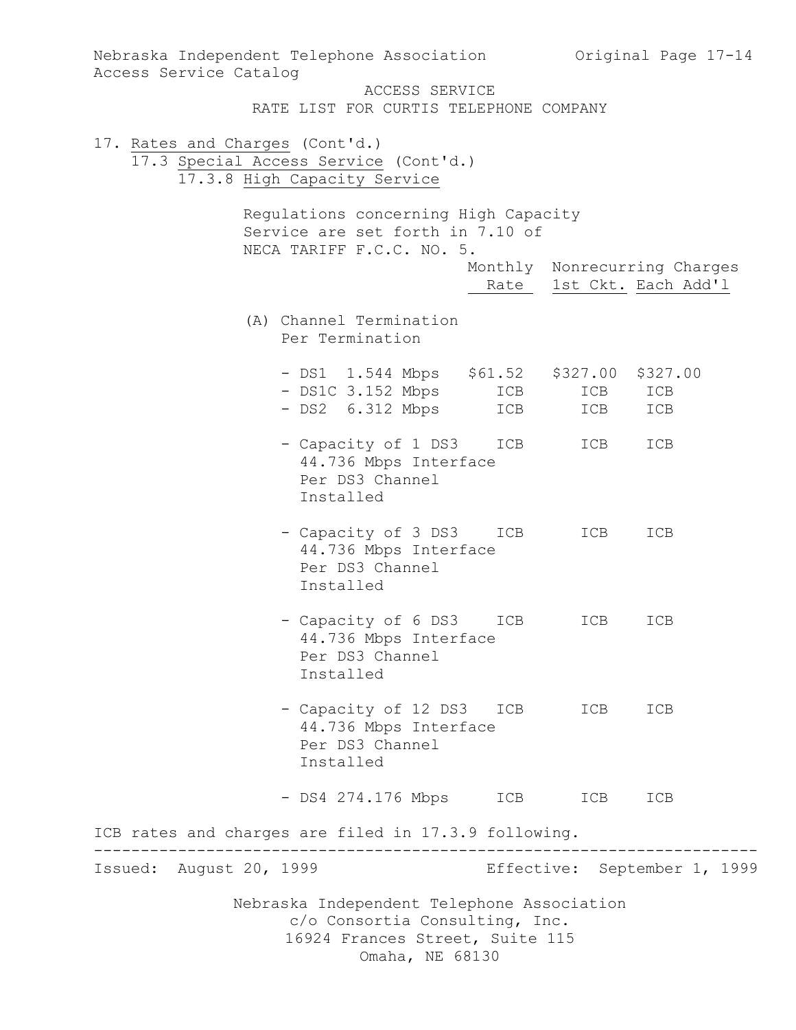| Nebraska Independent Telephone Association<br>Access Service Catalog                                                               |                          |            | Original Page 17-14          |  |  |
|------------------------------------------------------------------------------------------------------------------------------------|--------------------------|------------|------------------------------|--|--|
| ACCESS SERVICE<br>RATE LIST FOR CURTIS TELEPHONE COMPANY                                                                           |                          |            |                              |  |  |
| 17. Rates and Charges (Cont'd.)<br>17.3 Special Access Service (Cont'd.)<br>17.3.8 High Capacity Service                           |                          |            |                              |  |  |
| Regulations concerning High Capacity<br>Service are set forth in 7.10 of<br>NECA TARIFF F.C.C. NO. 5.                              |                          |            |                              |  |  |
|                                                                                                                                    | Rate 1st Ckt. Each Add'l |            | Monthly Nonrecurring Charges |  |  |
| (A) Channel Termination<br>Per Termination                                                                                         |                          |            |                              |  |  |
| $-$ DS1 1.544 Mbps \$61.52 \$327.00 \$327.00<br>$-$ DS1C 3.152 Mbps<br>$-$ DS2 $6.312$ Mbps                                        | ICB<br>ICB               | ICB<br>ICB | ICB<br>ICB                   |  |  |
| - Capacity of 1 DS3 ICB<br>44.736 Mbps Interface<br>Per DS3 Channel<br>Installed                                                   |                          | ICB        | ICB                          |  |  |
| - Capacity of 3 DS3<br>44.736 Mbps Interface<br>Per DS3 Channel<br>Installed                                                       | ICB                      | ICB        | ICB                          |  |  |
| - Capacity of 6 DS3<br>44.736 Mbps Interface<br>Per DS3 Channel<br>Installed                                                       | ICB                      | ICB        | ICB                          |  |  |
| - Capacity of 12 DS3 ICB<br>44.736 Mbps Interface<br>Per DS3 Channel<br>Installed                                                  |                          | ICB        | ICB                          |  |  |
| - DS4 274.176 Mbps                                                                                                                 | ICB                      | ICB        | ICB                          |  |  |
| ICB rates and charges are filed in 17.3.9 following.                                                                               |                          |            |                              |  |  |
| Issued: August 20, 1999                                                                                                            |                          |            | Effective: September 1, 1999 |  |  |
| Nebraska Independent Telephone Association<br>c/o Consortia Consulting, Inc.<br>16924 Frances Street, Suite 115<br>Omaha, NE 68130 |                          |            |                              |  |  |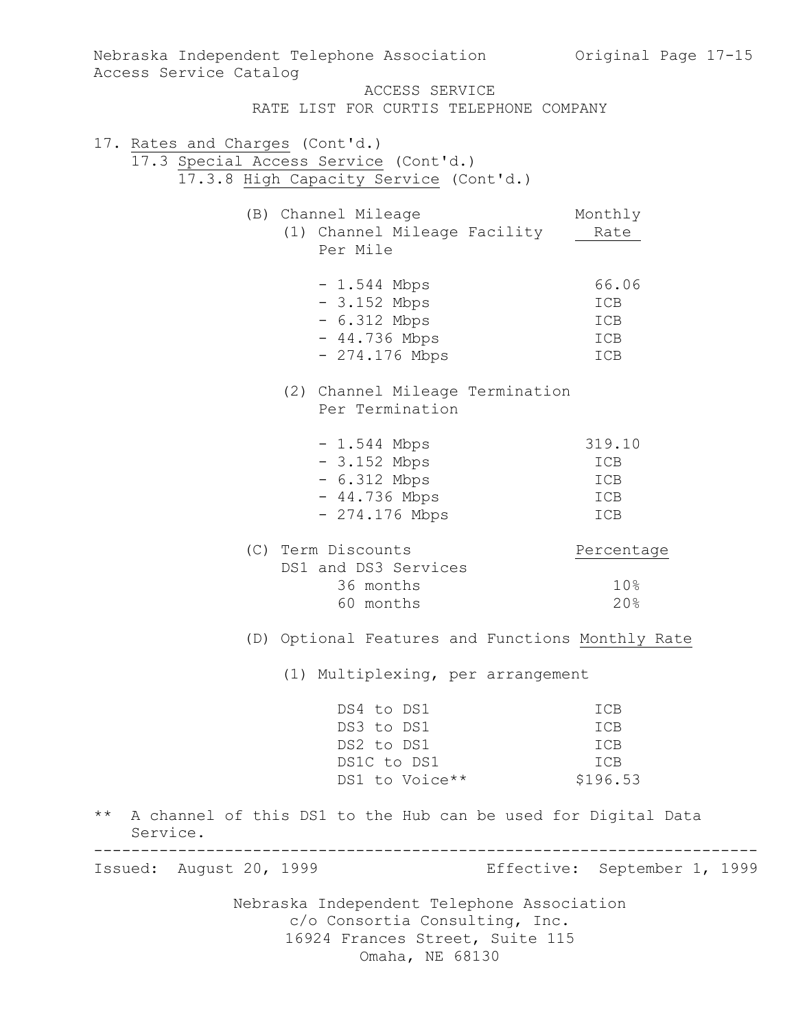| Access Service Catalog                                                   | Nebraska Independent Telephone Association                                   | Original Page 17-15          |  |  |
|--------------------------------------------------------------------------|------------------------------------------------------------------------------|------------------------------|--|--|
|                                                                          | ACCESS SERVICE                                                               |                              |  |  |
|                                                                          | RATE LIST FOR CURTIS TELEPHONE COMPANY                                       |                              |  |  |
| 17. Rates and Charges (Cont'd.)<br>17.3 Special Access Service (Cont'd.) |                                                                              |                              |  |  |
|                                                                          | 17.3.8 High Capacity Service (Cont'd.)                                       |                              |  |  |
|                                                                          | (B) Channel Mileage                                                          | Monthly                      |  |  |
|                                                                          | (1) Channel Mileage Facility<br>Per Mile                                     | Rate                         |  |  |
|                                                                          | $-1.544$ Mbps                                                                | 66.06                        |  |  |
|                                                                          | $-3.152$ Mbps                                                                | ICB                          |  |  |
|                                                                          | $-6.312$ Mbps                                                                | ICB                          |  |  |
|                                                                          | $-44.736$ Mbps                                                               | ICB                          |  |  |
|                                                                          | $-274.176$ Mbps                                                              | ICB                          |  |  |
|                                                                          | (2) Channel Mileage Termination                                              |                              |  |  |
|                                                                          | Per Termination                                                              |                              |  |  |
|                                                                          | $-1.544$ Mbps                                                                | 319.10                       |  |  |
|                                                                          | $-3.152$ Mbps                                                                | ICB                          |  |  |
|                                                                          | $-6.312$ Mbps                                                                | ICB                          |  |  |
|                                                                          | $-44.736$ Mbps                                                               | ICB                          |  |  |
|                                                                          | $-274.176$ Mbps                                                              | ICB                          |  |  |
|                                                                          | (C) Term Discounts                                                           | Percentage                   |  |  |
|                                                                          | DS1 and DS3 Services                                                         |                              |  |  |
|                                                                          | 36 months                                                                    | 10%                          |  |  |
|                                                                          | 60 months                                                                    | 20%                          |  |  |
|                                                                          | (D) Optional Features and Functions Monthly Rate                             |                              |  |  |
|                                                                          | (1) Multiplexing, per arrangement                                            |                              |  |  |
|                                                                          | DS4 to DS1                                                                   | ICB                          |  |  |
|                                                                          | DS3 to DS1                                                                   | ICB                          |  |  |
|                                                                          | DS2 to DS1                                                                   | ICB                          |  |  |
|                                                                          | DS1C to DS1                                                                  | ICB                          |  |  |
|                                                                          | DS1 to Voice**                                                               | \$196.53                     |  |  |
| $\star\star$<br>Service.                                                 | A channel of this DS1 to the Hub can be used for Digital Data                |                              |  |  |
| Issued: August 20, 1999                                                  |                                                                              | Effective: September 1, 1999 |  |  |
|                                                                          |                                                                              |                              |  |  |
|                                                                          | Nebraska Independent Telephone Association<br>c/o Consortia Consulting, Inc. |                              |  |  |
|                                                                          | 16924 Frances Street, Suite 115                                              |                              |  |  |
| Omaha, NE 68130                                                          |                                                                              |                              |  |  |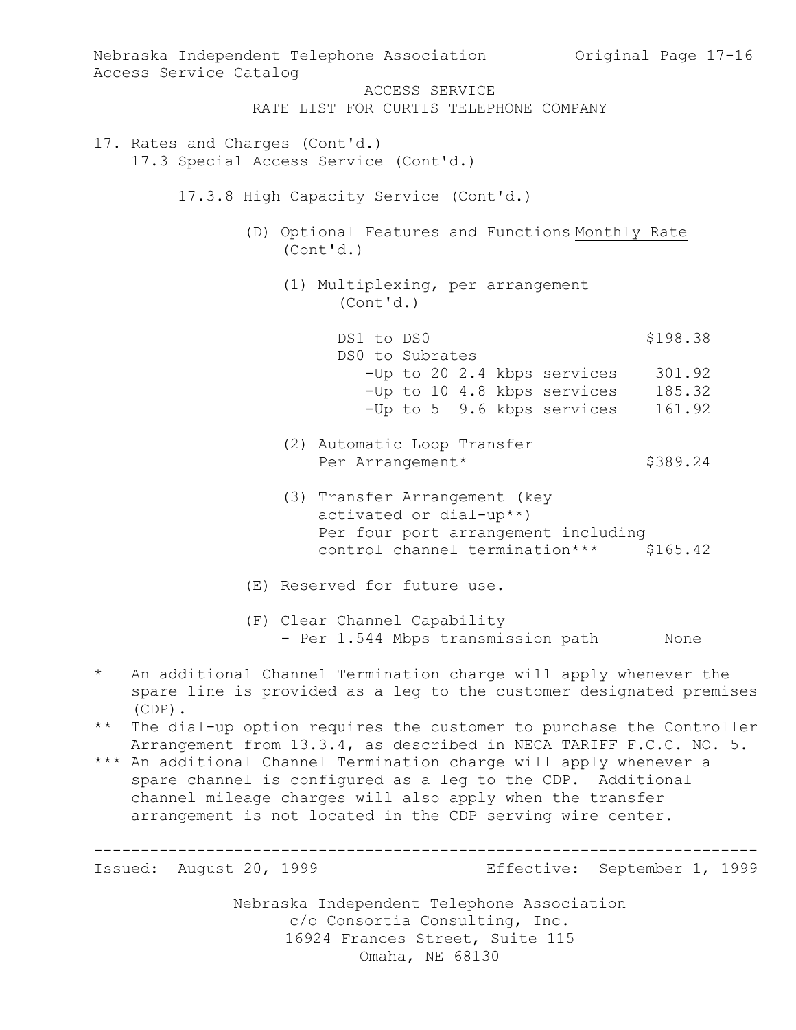Nebraska Independent Telephone Association c/o Consortia Consulting, Inc. 16924 Frances Street, Suite 115 Omaha, NE 68130 Nebraska Independent Telephone Association Original Page 17-16 Access Service Catalog ACCESS SERVICE RATE LIST FOR CURTIS TELEPHONE COMPANY 17. Rates and Charges (Cont'd.) 17.3 Special Access Service (Cont'd.) 17.3.8 High Capacity Service (Cont'd.) (D) Optional Features and Functions Monthly Rate (Cont'd.) (1) Multiplexing, per arrangement (Cont'd.) DS1 to DS0 \$198.38 DS0 to Subrates -Up to 20 2.4 kbps services 301.92 -Up to 10 4.8 kbps services 185.32 -Up to 5 9.6 kbps services 161.92 (2) Automatic Loop Transfer Per Arrangement\* \$389.24 (3) Transfer Arrangement (key activated or dial-up\*\*) Per four port arrangement including control channel termination\*\*\* \$165.42 (E) Reserved for future use. (F) Clear Channel Capability - Per 1.544 Mbps transmission path None \* An additional Channel Termination charge will apply whenever the spare line is provided as a leg to the customer designated premises (CDP). \*\* The dial-up option requires the customer to purchase the Controller Arrangement from 13.3.4, as described in NECA TARIFF F.C.C. NO. 5. \*\*\* An additional Channel Termination charge will apply whenever a spare channel is configured as a leg to the CDP. Additional channel mileage charges will also apply when the transfer arrangement is not located in the CDP serving wire center. ----------------------------------------------------------------------- Effective: September 1, 1999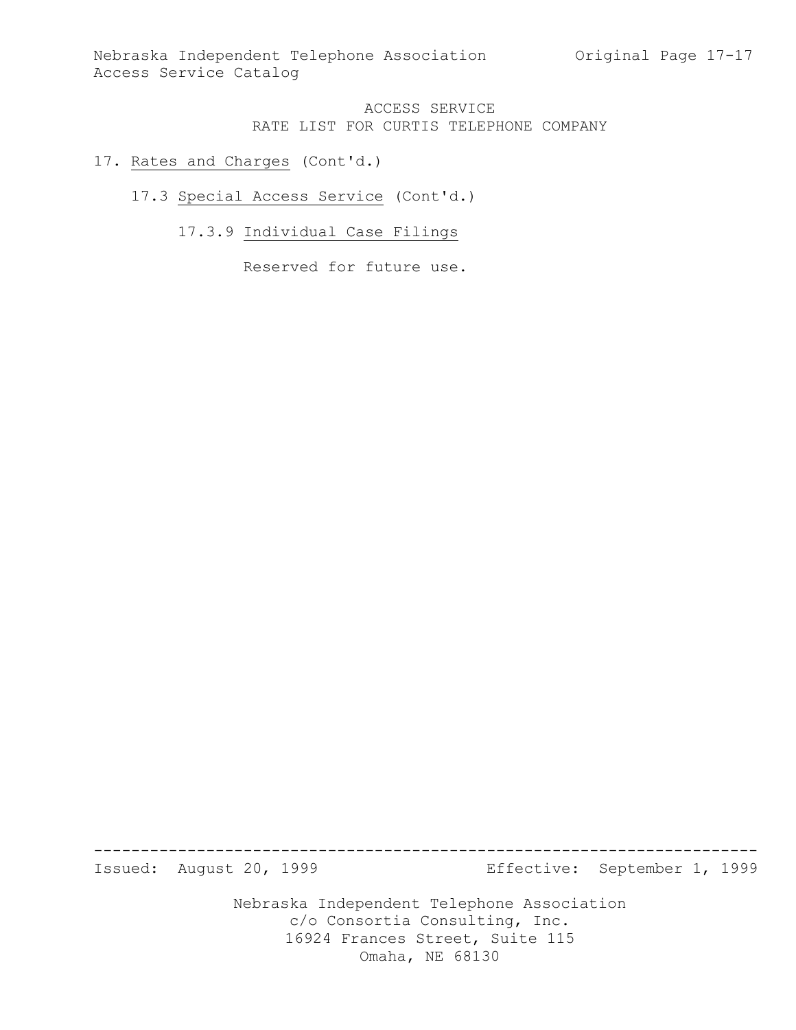### 17. Rates and Charges (Cont'd.)

## 17.3 Special Access Service (Cont'd.)

# 17.3.9 Individual Case Filings

Reserved for future use.

Nebraska Independent Telephone Association ----------------------------------------------------------------------- Effective: September 1, 1999

c/o Consortia Consulting, Inc. 16924 Frances Street, Suite 115 Omaha, NE 68130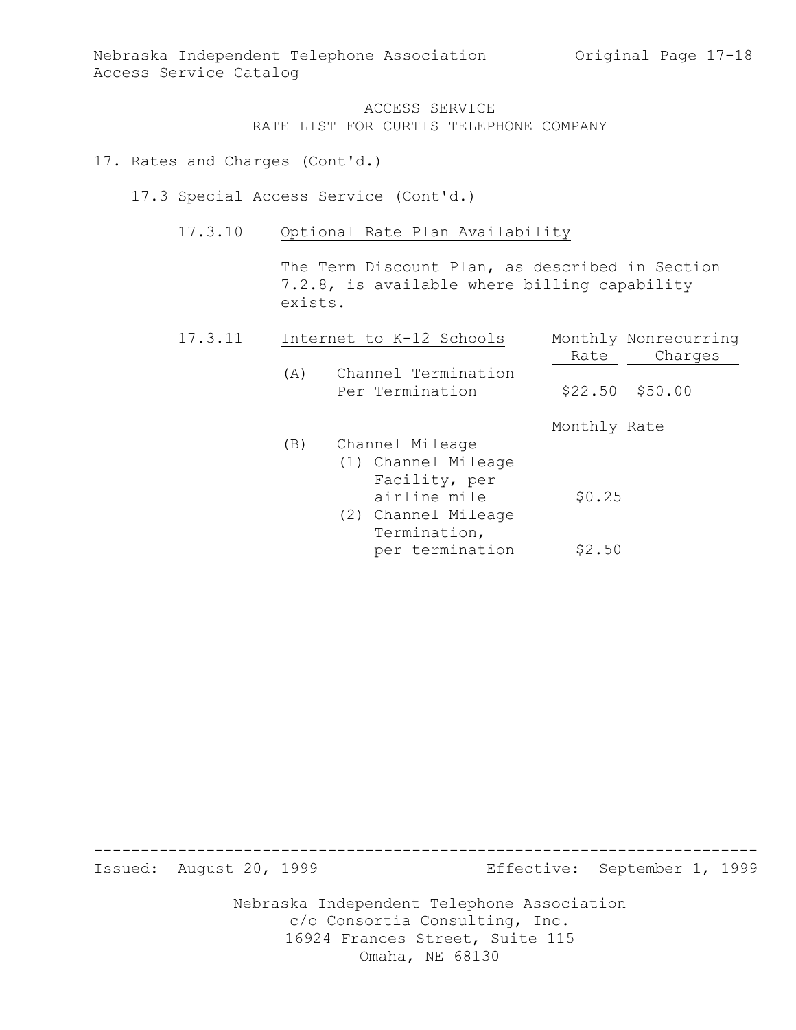#### 17. Rates and Charges (Cont'd.)

- 17.3 Special Access Service (Cont'd.)
	- 17.3.10 Optional Rate Plan Availability

The Term Discount Plan, as described in Section 7.2.8, is available where billing capability exists.

| 17.3.11 |     | Internet to K-12 Schools                                                                    | Monthly Nonrecurring<br>Charges<br>Rate |  |
|---------|-----|---------------------------------------------------------------------------------------------|-----------------------------------------|--|
|         | (A) | Channel Termination<br>Per Termination                                                      | $$22.50$ $$50.00$                       |  |
|         | (B) | Channel Mileage                                                                             | Monthly Rate                            |  |
|         |     | (1) Channel Mileage<br>Facility, per<br>airline mile<br>(2) Channel Mileage<br>Termination, | \$0.25                                  |  |
|         |     | per termination                                                                             | \$2.50                                  |  |

----------------------------------------------------------------------- Effective: September 1, 1999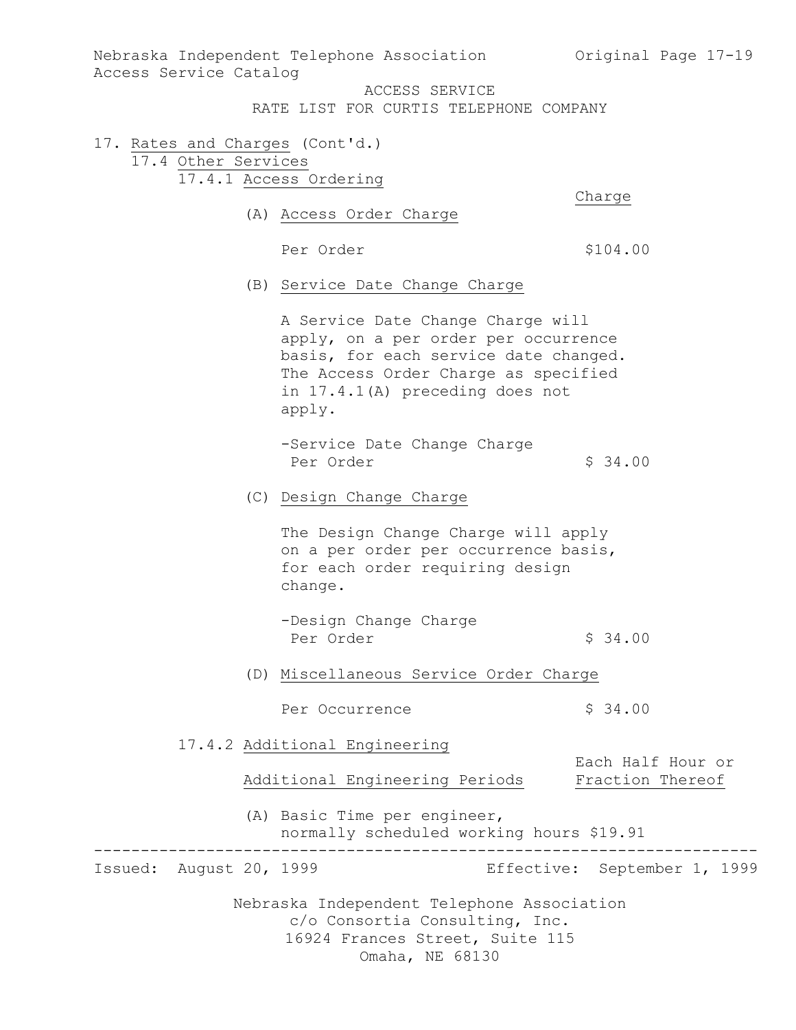Nebraska Independent Telephone Association (Original Page 17-19) Access Service Catalog ACCESS SERVICE RATE LIST FOR CURTIS TELEPHONE COMPANY 17. Rates and Charges (Cont'd.) 17.4 Other Services 17.4.1 Access Ordering Charge (A) Access Order Charge Per Order  $$104.00$ (B) Service Date Change Charge A Service Date Change Charge will apply, on a per order per occurrence basis, for each service date changed. The Access Order Charge as specified in 17.4.1(A) preceding does not apply. -Service Date Change Charge Per Order  $\frac{1}{2}$  34.00 (C) Design Change Charge The Design Change Charge will apply on a per order per occurrence basis, for each order requiring design change. -Design Change Charge Per Order  $$34.00$ (D) Miscellaneous Service Order Charge Per Occurrence  $\frac{1}{5}$  34.00 17.4.2 Additional Engineering Each Half Hour or<br>Fraction Thereof Additional Engineering Periods (A) Basic Time per engineer, normally scheduled working hours \$19.91

----------------------------------------------------------------------- Effective: September 1, 1999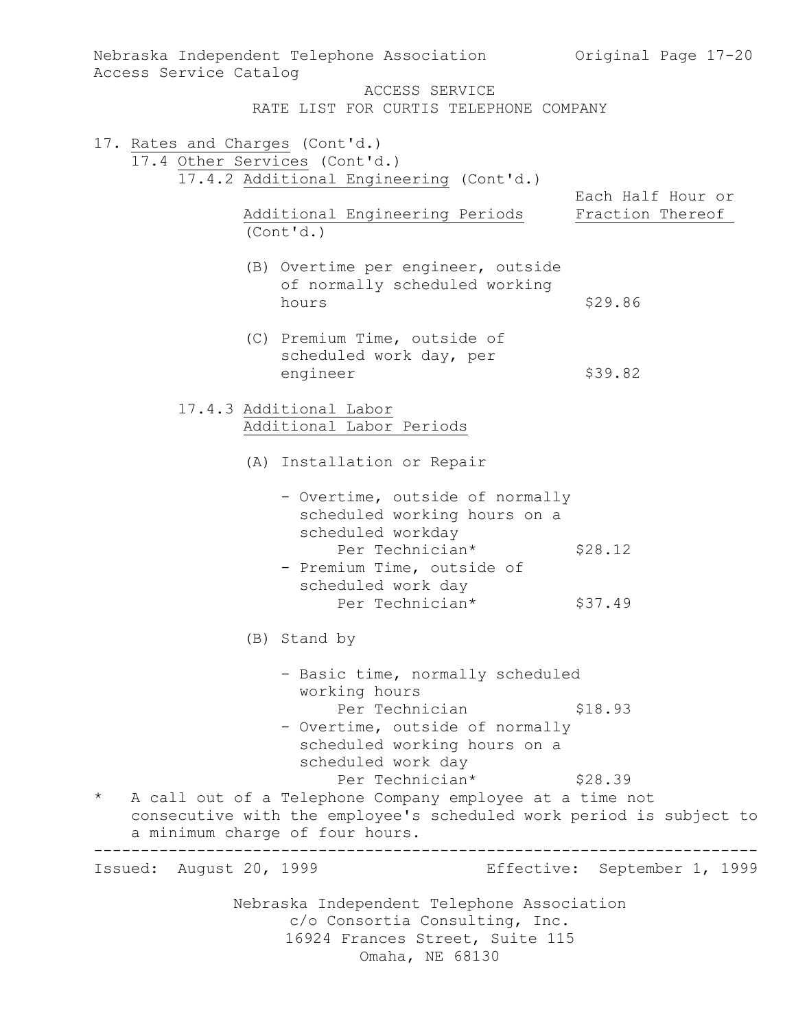| Access Service Catalog                                           | Nebraska Independent Telephone Association 60 Original Page 17-20                                                                                                                     |                                       |
|------------------------------------------------------------------|---------------------------------------------------------------------------------------------------------------------------------------------------------------------------------------|---------------------------------------|
|                                                                  | ACCESS SERVICE<br>RATE LIST FOR CURTIS TELEPHONE COMPANY                                                                                                                              |                                       |
| 17. Rates and Charges (Cont'd.)<br>17.4 Other Services (Cont'd.) | 17.4.2 Additional Engineering (Cont'd.)                                                                                                                                               |                                       |
|                                                                  | Additional Engineering Periods<br>(Cont'd.)                                                                                                                                           | Each Half Hour or<br>Fraction Thereof |
|                                                                  | (B) Overtime per engineer, outside<br>of normally scheduled working<br>hours                                                                                                          | \$29.86                               |
|                                                                  | (C) Premium Time, outside of<br>scheduled work day, per<br>engineer                                                                                                                   | \$39.82                               |
|                                                                  | 17.4.3 Additional Labor<br>Additional Labor Periods                                                                                                                                   |                                       |
|                                                                  | (A) Installation or Repair                                                                                                                                                            |                                       |
|                                                                  | - Overtime, outside of normally<br>scheduled working hours on a<br>scheduled workday<br>Per Technician*<br>- Premium Time, outside of<br>scheduled work day                           | \$28.12                               |
|                                                                  | Per Technician*                                                                                                                                                                       | \$37.49                               |
|                                                                  | (B) Stand by                                                                                                                                                                          |                                       |
|                                                                  | - Basic time, normally scheduled<br>working hours<br>Per Technician<br>- Overtime, outside of normally<br>scheduled working hours on a<br>scheduled work day                          | \$18.93                               |
| $\star$                                                          | Per Technician*<br>A call out of a Telephone Company employee at a time not<br>consecutive with the employee's scheduled work period is subject to<br>a minimum charge of four hours. | \$28.39                               |
| Issued: August 20, 1999                                          |                                                                                                                                                                                       | Effective: September 1, 1999          |
|                                                                  | Nebraska Independent Telephone Association<br>c/o Consortia Consulting, Inc.<br>16924 Frances Street, Suite 115<br>Omaha, NE 68130                                                    |                                       |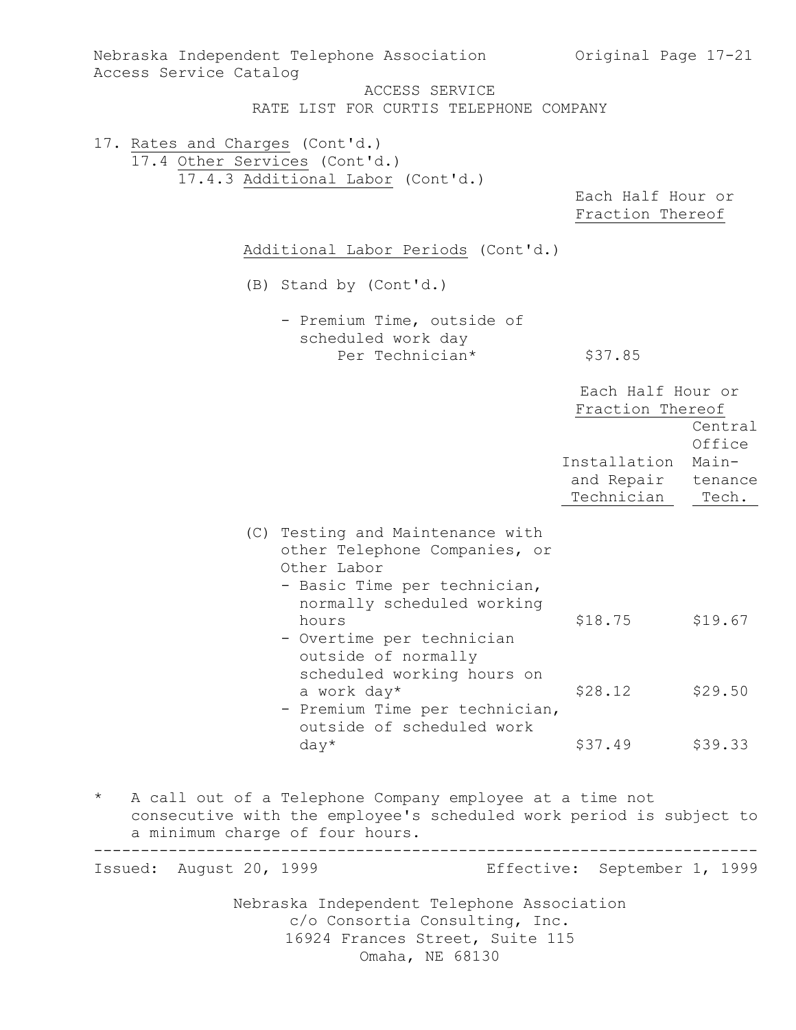| Access Service Catalog                                           | Nebraska Independent Telephone Association<br>ACCESS SERVICE<br>RATE LIST FOR CURTIS TELEPHONE COMPANY                                                                               | Original Page 17-21                              |                                     |
|------------------------------------------------------------------|--------------------------------------------------------------------------------------------------------------------------------------------------------------------------------------|--------------------------------------------------|-------------------------------------|
| 17. Rates and Charges (Cont'd.)<br>17.4 Other Services (Cont'd.) |                                                                                                                                                                                      |                                                  |                                     |
|                                                                  | 17.4.3 Additional Labor (Cont'd.)                                                                                                                                                    | Each Half Hour or<br>Fraction Thereof            |                                     |
|                                                                  | Additional Labor Periods (Cont'd.)                                                                                                                                                   |                                                  |                                     |
|                                                                  | (B) Stand by (Cont'd.)                                                                                                                                                               |                                                  |                                     |
|                                                                  | - Premium Time, outside of<br>scheduled work day<br>Per Technician*                                                                                                                  | \$37.85                                          |                                     |
|                                                                  |                                                                                                                                                                                      | Each Half Hour or<br>Fraction Thereof            |                                     |
|                                                                  |                                                                                                                                                                                      | Installation<br>and Repair tenance<br>Technician | Central<br>Office<br>Main-<br>Tech. |
|                                                                  | (C) Testing and Maintenance with<br>other Telephone Companies, or<br>Other Labor<br>- Basic Time per technician,<br>normally scheduled working<br>hours<br>- Overtime per technician | \$18.75                                          | \$19.67                             |
|                                                                  | outside of normally<br>scheduled working hours on<br>a work day*<br>- Premium Time per technician,<br>outside of scheduled work                                                      | \$28.12                                          | \$29.50                             |
| $\star$<br>a minimum charge of four hours.                       | $day*$<br>A call out of a Telephone Company employee at a time not<br>consecutive with the employee's scheduled work period is subject to                                            | \$37.49 \$39.33                                  |                                     |
| Issued: August 20, 1999                                          |                                                                                                                                                                                      | Effective: September 1, 1999                     |                                     |
|                                                                  | Nebraska Independent Telephone Association<br>c/o Consortia Consulting, Inc.<br>16924 Frances Street, Suite 115<br>Omaha, NE 68130                                                   |                                                  |                                     |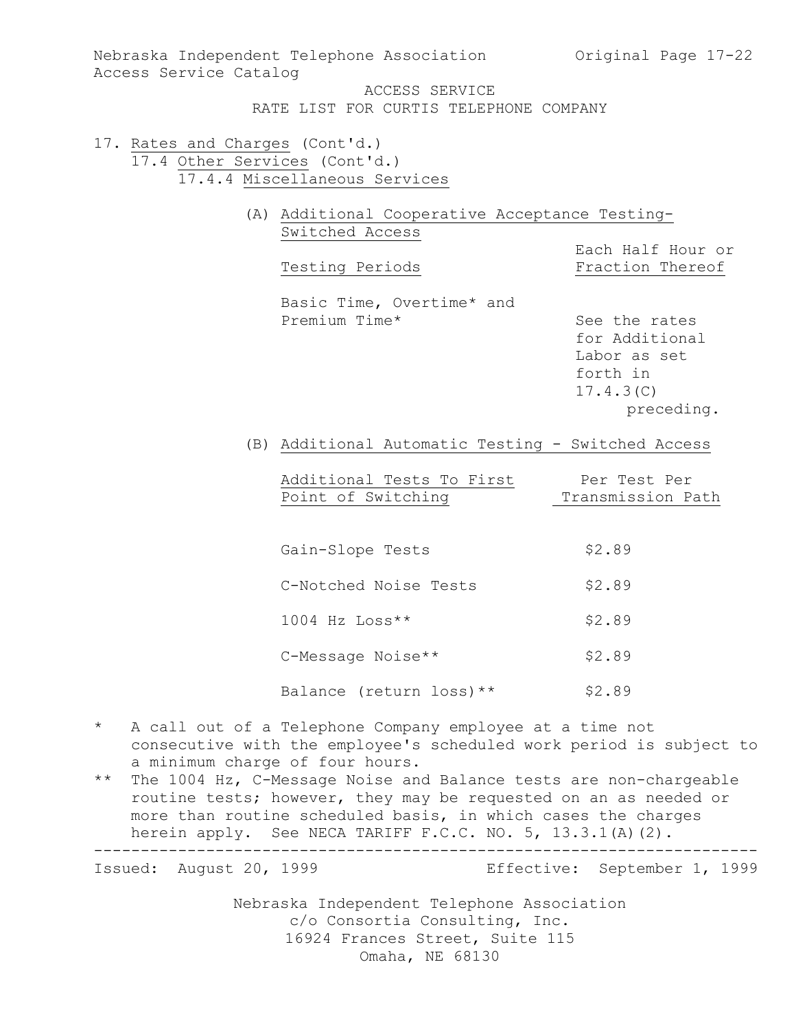Nebraska Independent Telephone Association (Original Page 17-22) Access Service Catalog ACCESS SERVICE

RATE LIST FOR CURTIS TELEPHONE COMPANY

- 17. Rates and Charges (Cont'd.) 17.4 Other Services (Cont'd.) 17.4.4 Miscellaneous Services
	- (A) Additional Cooperative Acceptance Testing-Switched Access
		- Testing Periods

Each Half Hour or

Basic Time, Overtime\* and Premium Time\* See the rates

for Additional Labor as set forth in 17.4.3(C) preceding.

(B) Additional Automatic Testing - Switched Access

|                    | Additional Tests To First | Per Test Per      |
|--------------------|---------------------------|-------------------|
| Point of Switching |                           | Transmission Path |

| Gain-Slope Tests         | \$2.89 |
|--------------------------|--------|
| C-Notched Noise Tests    | \$2.89 |
| $1004$ Hz Loss**         | \$2.89 |
| C-Message Noise**        | \$2.89 |
| Balance (return loss) ** | \$2.89 |

- \* A call out of a Telephone Company employee at a time not consecutive with the employee's scheduled work period is subject to a minimum charge of four hours.
- \*\* The 1004 Hz, C-Message Noise and Balance tests are non-chargeable routine tests; however, they may be requested on an as needed or more than routine scheduled basis, in which cases the charges herein apply. See NECA TARIFF F.C.C. NO. 5, 13.3.1(A)(2).

----------------------------------------------------------------------- Effective: September 1, 1999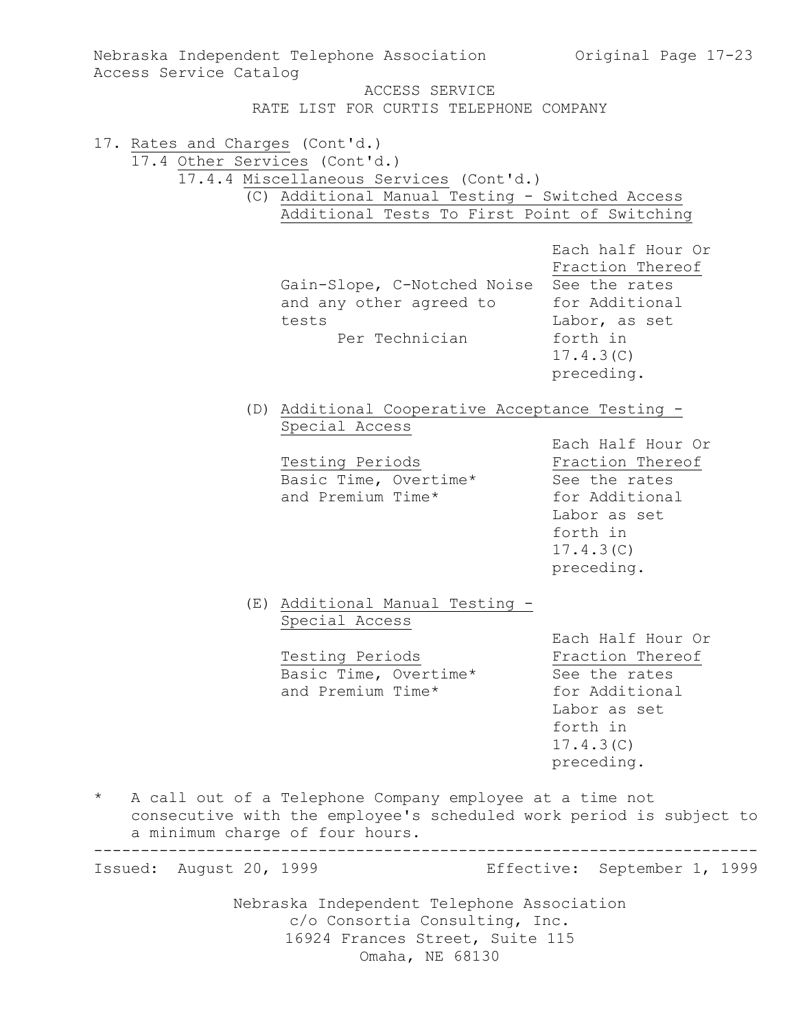| Access Service Catalog                                           | Nebraska Independent Telephone Association                                                                                                                         | Original Page 17-23                                                                                                             |  |
|------------------------------------------------------------------|--------------------------------------------------------------------------------------------------------------------------------------------------------------------|---------------------------------------------------------------------------------------------------------------------------------|--|
|                                                                  | ACCESS SERVICE                                                                                                                                                     |                                                                                                                                 |  |
|                                                                  | RATE LIST FOR CURTIS TELEPHONE COMPANY                                                                                                                             |                                                                                                                                 |  |
| 17. Rates and Charges (Cont'd.)<br>17.4 Other Services (Cont'd.) | 17.4.4 Miscellaneous Services (Cont'd.)                                                                                                                            |                                                                                                                                 |  |
|                                                                  | (C) Additional Manual Testing - Switched Access<br>Additional Tests To First Point of Switching                                                                    |                                                                                                                                 |  |
|                                                                  | Gain-Slope, C-Notched Noise See the rates<br>and any other agreed to<br>tests<br>Per Technician                                                                    | Each half Hour Or<br>Fraction Thereof<br>for Additional<br>Labor, as set<br>forth in<br>17.4.3(C)<br>preceding.                 |  |
|                                                                  | (D) Additional Cooperative Acceptance Testing -                                                                                                                    |                                                                                                                                 |  |
|                                                                  | Special Access<br>Testing Periods<br>Basic Time, Overtime*<br>and Premium Time*                                                                                    | Each Half Hour Or<br>Fraction Thereof<br>See the rates<br>for Additional<br>Labor as set<br>forth in<br>17.4.3(C)<br>preceding. |  |
|                                                                  | (E) Additional Manual Testing -<br>Special Access                                                                                                                  |                                                                                                                                 |  |
|                                                                  | Testing Periods<br>Basic Time, Overtime*<br>and Premium Time*                                                                                                      | Each Half Hour Or<br>Fraction Thereof<br>See the rates<br>for Additional<br>Labor as set<br>forth in<br>17.4.3(C)<br>preceding. |  |
| $\star$                                                          | A call out of a Telephone Company employee at a time not<br>consecutive with the employee's scheduled work period is subject to<br>a minimum charge of four hours. |                                                                                                                                 |  |
| Issued: August 20, 1999                                          |                                                                                                                                                                    | Effective: September 1, 1999                                                                                                    |  |
|                                                                  | Nebraska Independent Telephone Association<br>c/o Consortia Consulting, Inc.<br>16924 Frances Street, Suite 115<br>Omaha, NE 68130                                 |                                                                                                                                 |  |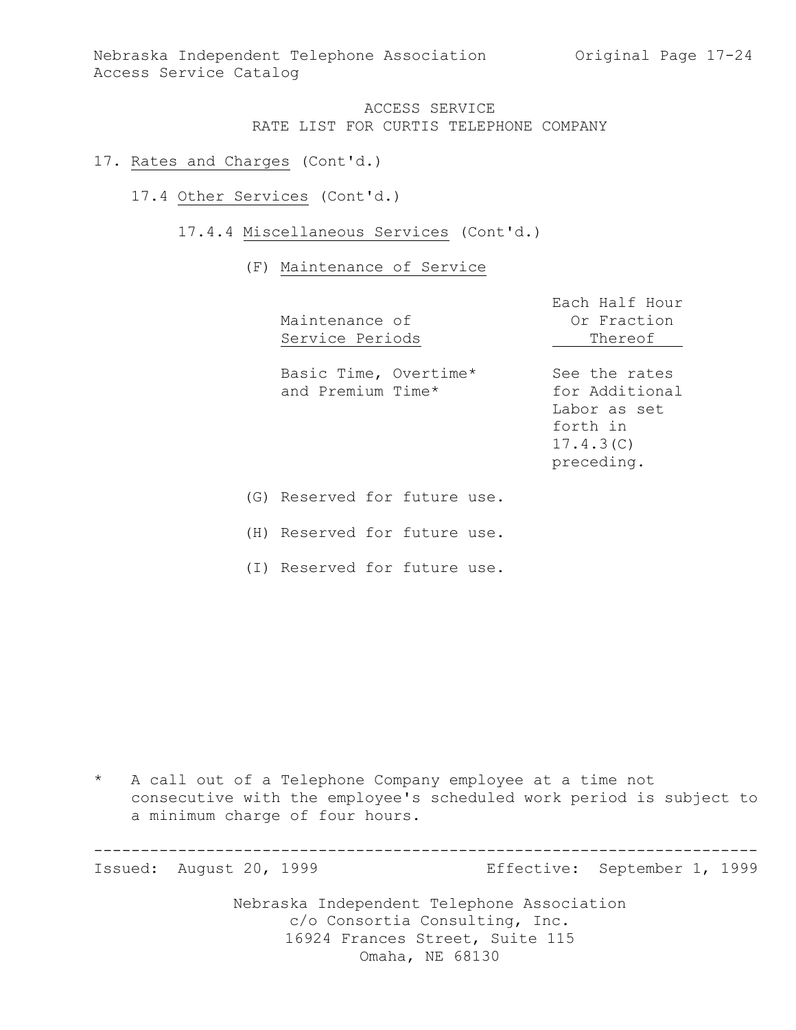Nebraska Independent Telephone Association (Original Page 17-24) Access Service Catalog

## ACCESS SERVICE RATE LIST FOR CURTIS TELEPHONE COMPANY

- 17. Rates and Charges (Cont'd.)
	- 17.4 Other Services (Cont'd.)
		- 17.4.4 Miscellaneous Services (Cont'd.)

### (F) Maintenance of Service

| Maintenance of<br>Service Periods          | Each Half Hour<br>Or Fraction<br>Thereof                                               |  |
|--------------------------------------------|----------------------------------------------------------------------------------------|--|
| Basic Time, Overtime*<br>and Premium Time* | See the rates<br>for Additional<br>Labor as set<br>forth in<br>17.4.3(C)<br>preceding. |  |
| Reserved for future use.<br>(G)            |                                                                                        |  |

(H) Reserved for future use.

(I) Reserved for future use.

\* A call out of a Telephone Company employee at a time not consecutive with the employee's scheduled work period is subject to a minimum charge of four hours.

Nebraska Independent Telephone Association c/o Consortia Consulting, Inc. 16924 Frances Street, Suite 115 ----------------------------------------------------------------------- Effective: September 1, 1999